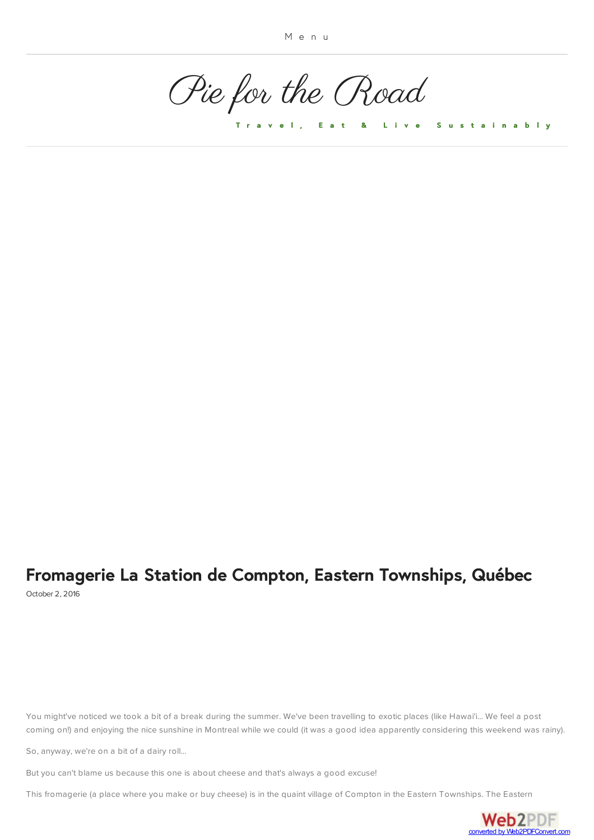[Pie for the Road](https://www.piefortheroad.com/)

**[T r a v e l , E a t & L i v e S u s t a i n a b l y](https://www.piefortheroad.com/about-us/)**

### **[Fromagerie La Station de Compton, Eastern Townships, Québec](#page-3-0)** October 2, 2016

You might've noticed we took a bit of a break during the summer. We've been travelling to exotic places (like Hawai'i... We feel a post coming on!) and enjoying the nice sunshine in Montreal while we could (it was a good idea apparently considering this weekend was rainy).

So, anyway, we're on a bit of a dairy roll...

But you can't blame us because this one is about cheese and that's always a good excuse!

This fromagerie (a place where you make or buy cheese) is in the quaint village of Compton in the Eastern Towns[hips. The Eastern](http://www.web2pdfconvert.com?ref=PDF)

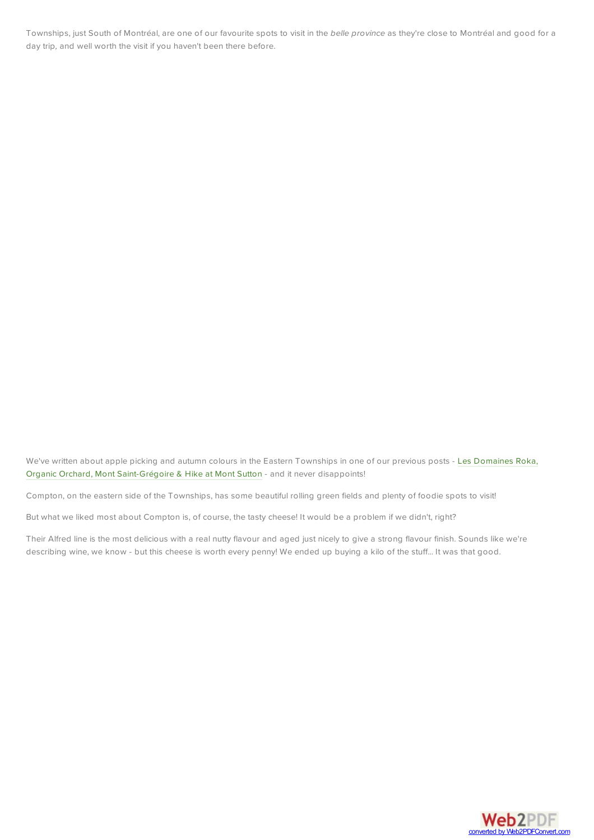Townships, just South of Montréal, are one of our favourite spots to visit in the *belle province* as they're close to Montréal and good for a day trip*,* and well worth the visit if you haven't been there before.

[We've written about apple picking and autumn colours in the Eastern Townships in one of our previous posts - Les Domaines Roka,](http://www.piefortheroad.com/home/domainesrokaandmontsutton) Organic Orchard, Mont Saint-Grégoire & Hike at Mont Sutton - and it never disappoints!

Compton, on the eastern side of the Townships, has some beautiful rolling green fields and plenty of foodie spots to visit!

But what we liked most about Compton is, of course, the tasty cheese! It would be a problem if we didn't, right?

Their Alfred line is the most delicious with a real nutty flavour and aged just nicely to give a strong flavour finish. Sounds like we're describing wine, we know - but this cheese is worth every penny! We ended up buying a kilo of the stuff... It was that good.

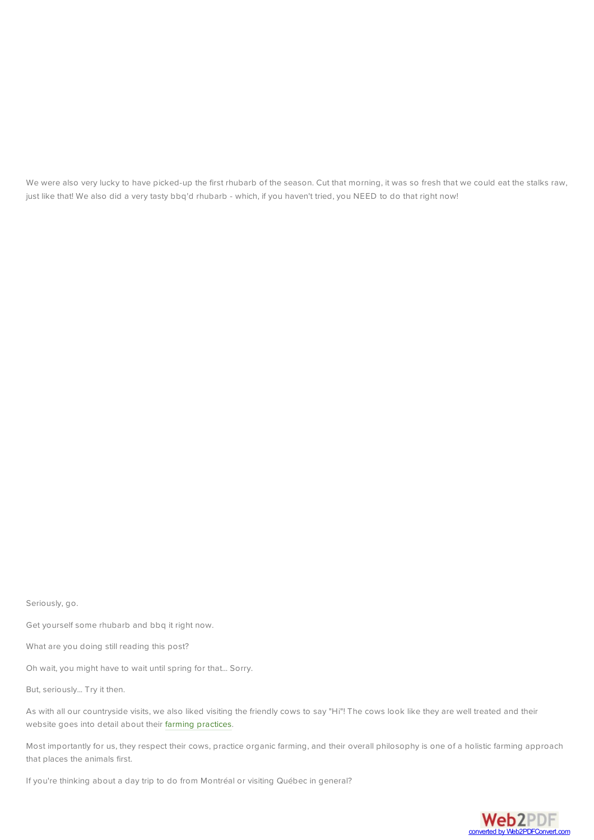We were also very lucky to have picked-up the first rhubarb of the season. Cut that morning, it was so fresh that we could eat the stalks raw, just like that! We also did a very tasty bbq'd rhubarb - which, if you haven't tried, you NEED to do that right now!

Seriously, go.

Get yourself some rhubarb and bbq it right now.

What are you doing still reading this post?

Oh wait, you might have to wait until spring for that... Sorry.

But, seriously... Try it then.

As with all our countryside visits, we also liked visiting the friendly cows to say "Hi"! The cows look like they are well treated and their website goes into detail about their [farming practices](http://www.fromagerielastation.com/en/fromagerie/ferme.shtml).

Most importantly for us, they respect their cows, practice organic farming, and their overall philosophy is one of a holistic farming approach that places the animals first.

If you're thinking about a day trip to do from Montréal or visiting Québec in general?

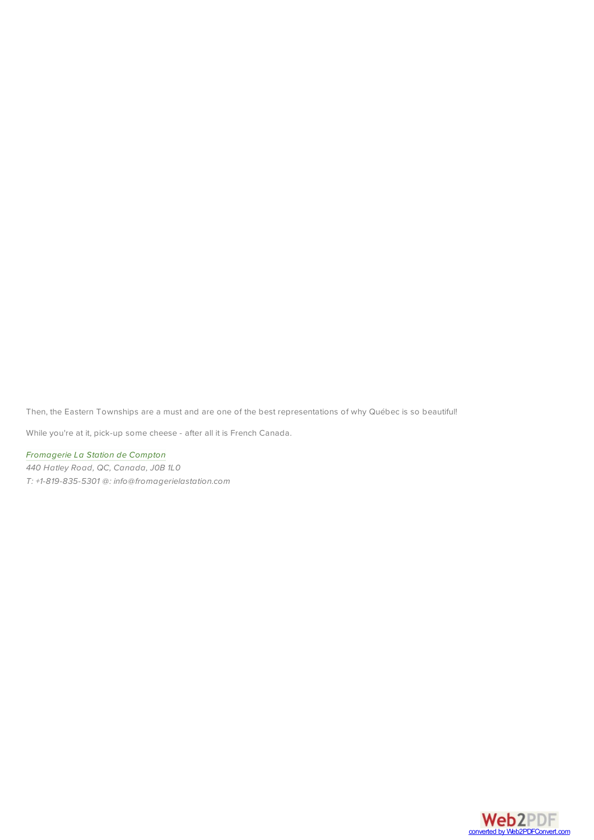<span id="page-3-0"></span>Then, the Eastern Townships are a must and are one of the best representations of why Québec is so beautiful!

While you're at it, pick-up some cheese - after all it is French Canada.

*[Fromagerie La Station de Compton](http://www.fromagerielastation.com/index_en.shtml) 440 Hatley Road, QC, Canada, J0B 1L0*

*T: +1-819-835-5301 @: info@fromagerielastation.com*

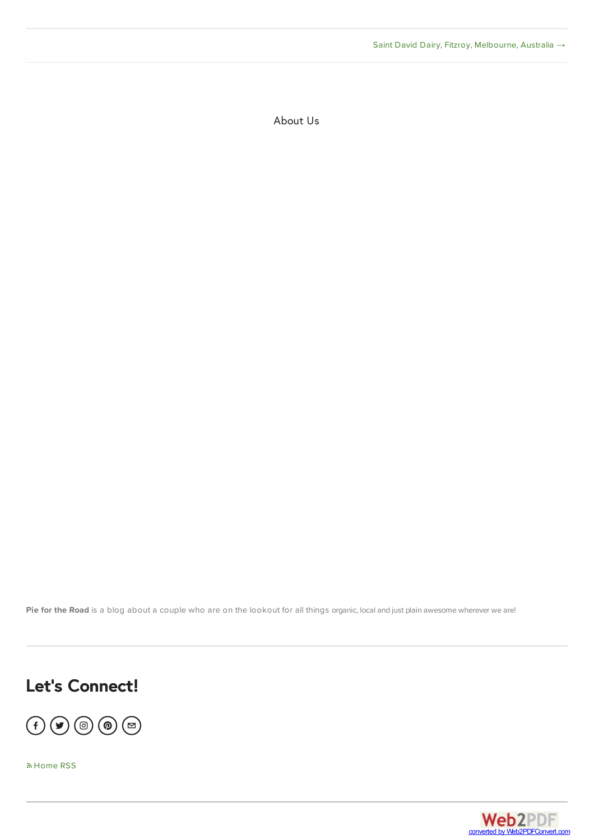About Us

Pie for the Road is a blog about a couple who are on the lookout for all things organic, local and just plain awesome wherever we are!

# **Let's Connect!**

 $\textcircled{\textcircled{\textcirc}}$ 

[Home RSS](https://www.piefortheroad.com/?format=rss)

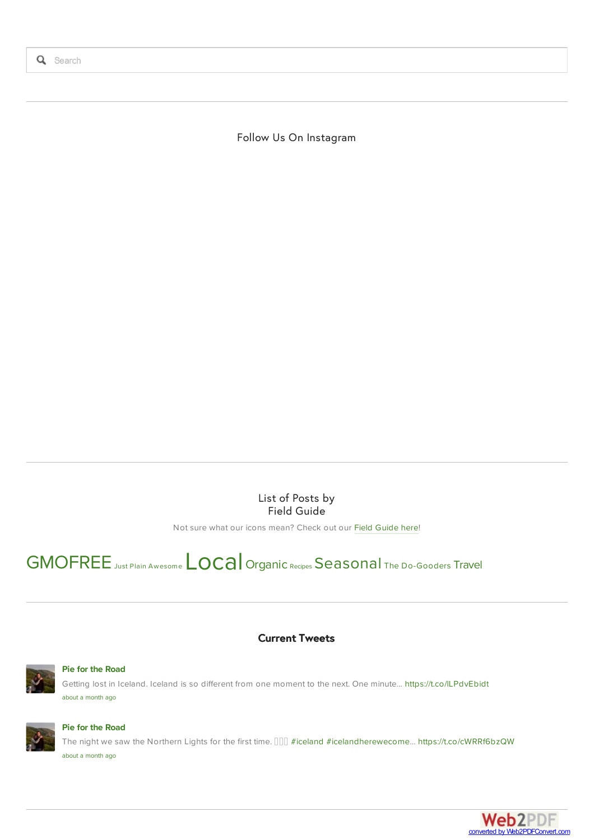Follow Us On Instagram

List of Posts by Field Guide

Not sure what our icons mean? Check out our [Field Guide here](https://www.piefortheroad.com/field-guide)!

## [GMOFREE](https://www.piefortheroad.com/home?category=GMOFREE) Just Plain Awesome LOCA | [Organic](https://www.piefortheroad.com/home?category=Organic) [Recipes](https://www.piefortheroad.com/home?category=Recipes) [Seasonal](https://www.piefortheroad.com/home?category=Seasonal) [The Do-Gooders](https://www.piefortheroad.com/home?category=The+Do-Gooders) [Travel](https://www.piefortheroad.com/home?category=Travel)





#### **[Pie for the Road](http://www.twitter.com/PiefortheRoad/)**

Getting lost in Iceland. Iceland is so different from one moment to the next. One minute… <https://t.co/lLPdvEbidt> [about a month ago](https://twitter.com/PiefortheRoad/status/851420802536714243)



### **[Pie for the Road](http://www.twitter.com/PiefortheRoad/)**

The night we saw the Northern Lights for the first time.  $[][][]$  [#iceland](https://twitter.com/#!/search?q=%23iceland) [#icelandherewecome](https://twitter.com/#!/search?q=%23icelandherewecome)...<https://t.co/cWRRf6bzQW> [about a month ago](https://twitter.com/PiefortheRoad/status/848595794336792576)